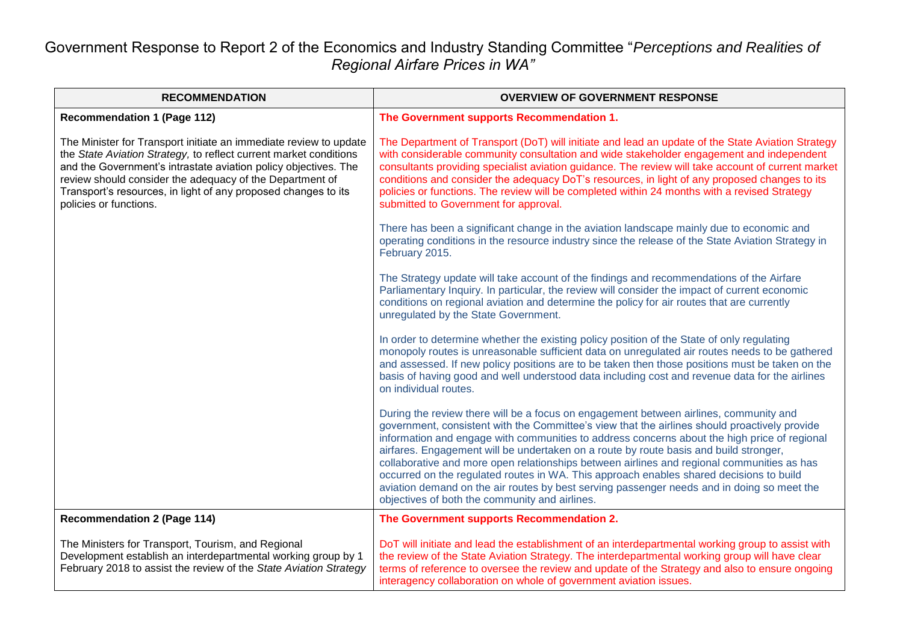## Government Response to Report 2 of the Economics and Industry Standing Committee "*Perceptions and Realities of Regional Airfare Prices in WA"*

| <b>RECOMMENDATION</b>                                                                                                                                                                                                                                                                                                                                             | <b>OVERVIEW OF GOVERNMENT RESPONSE</b>                                                                                                                                                                                                                                                                                                                                                                                                                                                                                                                                                                                                                                                                                   |
|-------------------------------------------------------------------------------------------------------------------------------------------------------------------------------------------------------------------------------------------------------------------------------------------------------------------------------------------------------------------|--------------------------------------------------------------------------------------------------------------------------------------------------------------------------------------------------------------------------------------------------------------------------------------------------------------------------------------------------------------------------------------------------------------------------------------------------------------------------------------------------------------------------------------------------------------------------------------------------------------------------------------------------------------------------------------------------------------------------|
| <b>Recommendation 1 (Page 112)</b>                                                                                                                                                                                                                                                                                                                                | The Government supports Recommendation 1.                                                                                                                                                                                                                                                                                                                                                                                                                                                                                                                                                                                                                                                                                |
| The Minister for Transport initiate an immediate review to update<br>the State Aviation Strategy, to reflect current market conditions<br>and the Government's intrastate aviation policy objectives. The<br>review should consider the adequacy of the Department of<br>Transport's resources, in light of any proposed changes to its<br>policies or functions. | The Department of Transport (DoT) will initiate and lead an update of the State Aviation Strategy<br>with considerable community consultation and wide stakeholder engagement and independent<br>consultants providing specialist aviation guidance. The review will take account of current market<br>conditions and consider the adequacy DoT's resources, in light of any proposed changes to its<br>policies or functions. The review will be completed within 24 months with a revised Strategy<br>submitted to Government for approval.                                                                                                                                                                            |
|                                                                                                                                                                                                                                                                                                                                                                   | There has been a significant change in the aviation landscape mainly due to economic and<br>operating conditions in the resource industry since the release of the State Aviation Strategy in<br>February 2015.                                                                                                                                                                                                                                                                                                                                                                                                                                                                                                          |
|                                                                                                                                                                                                                                                                                                                                                                   | The Strategy update will take account of the findings and recommendations of the Airfare<br>Parliamentary Inquiry. In particular, the review will consider the impact of current economic<br>conditions on regional aviation and determine the policy for air routes that are currently<br>unregulated by the State Government.                                                                                                                                                                                                                                                                                                                                                                                          |
|                                                                                                                                                                                                                                                                                                                                                                   | In order to determine whether the existing policy position of the State of only regulating<br>monopoly routes is unreasonable sufficient data on unregulated air routes needs to be gathered<br>and assessed. If new policy positions are to be taken then those positions must be taken on the<br>basis of having good and well understood data including cost and revenue data for the airlines<br>on individual routes.                                                                                                                                                                                                                                                                                               |
|                                                                                                                                                                                                                                                                                                                                                                   | During the review there will be a focus on engagement between airlines, community and<br>government, consistent with the Committee's view that the airlines should proactively provide<br>information and engage with communities to address concerns about the high price of regional<br>airfares. Engagement will be undertaken on a route by route basis and build stronger,<br>collaborative and more open relationships between airlines and regional communities as has<br>occurred on the regulated routes in WA. This approach enables shared decisions to build<br>aviation demand on the air routes by best serving passenger needs and in doing so meet the<br>objectives of both the community and airlines. |
| <b>Recommendation 2 (Page 114)</b>                                                                                                                                                                                                                                                                                                                                | The Government supports Recommendation 2.                                                                                                                                                                                                                                                                                                                                                                                                                                                                                                                                                                                                                                                                                |
| The Ministers for Transport, Tourism, and Regional<br>Development establish an interdepartmental working group by 1<br>February 2018 to assist the review of the State Aviation Strategy                                                                                                                                                                          | DoT will initiate and lead the establishment of an interdepartmental working group to assist with<br>the review of the State Aviation Strategy. The interdepartmental working group will have clear<br>terms of reference to oversee the review and update of the Strategy and also to ensure ongoing<br>interagency collaboration on whole of government aviation issues.                                                                                                                                                                                                                                                                                                                                               |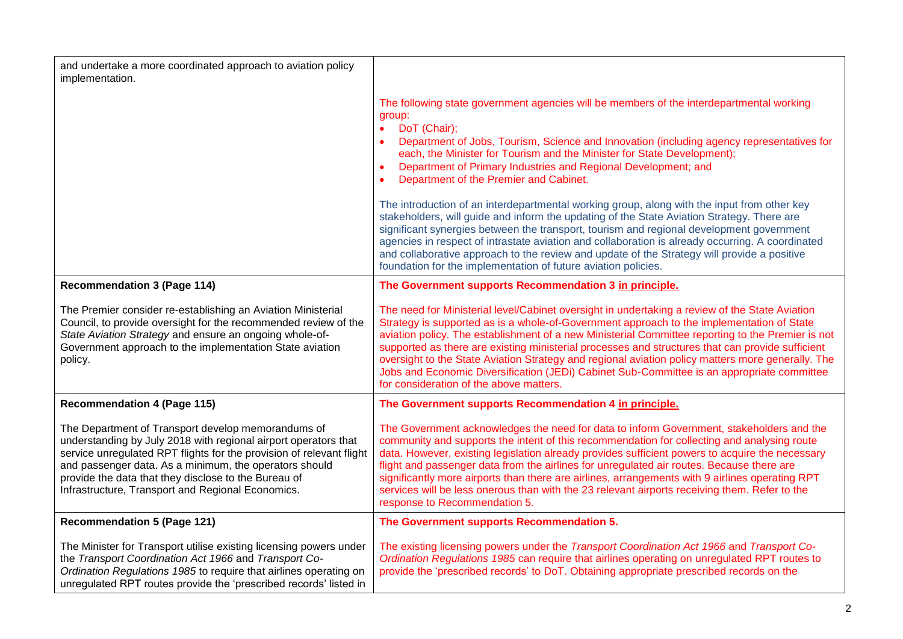| and undertake a more coordinated approach to aviation policy<br>implementation.                                                                                                                                                                                                                                                                                      |                                                                                                                                                                                                                                                                                                                                                                                                                                                                                                                                                                                                                                                                                                                                                                                                                                                                                                                                                                                   |
|----------------------------------------------------------------------------------------------------------------------------------------------------------------------------------------------------------------------------------------------------------------------------------------------------------------------------------------------------------------------|-----------------------------------------------------------------------------------------------------------------------------------------------------------------------------------------------------------------------------------------------------------------------------------------------------------------------------------------------------------------------------------------------------------------------------------------------------------------------------------------------------------------------------------------------------------------------------------------------------------------------------------------------------------------------------------------------------------------------------------------------------------------------------------------------------------------------------------------------------------------------------------------------------------------------------------------------------------------------------------|
|                                                                                                                                                                                                                                                                                                                                                                      | The following state government agencies will be members of the interdepartmental working<br>group:<br>DoT (Chair);<br>$\bullet$<br>Department of Jobs, Tourism, Science and Innovation (including agency representatives for<br>each, the Minister for Tourism and the Minister for State Development);<br>Department of Primary Industries and Regional Development; and<br>Department of the Premier and Cabinet.<br>The introduction of an interdepartmental working group, along with the input from other key<br>stakeholders, will guide and inform the updating of the State Aviation Strategy. There are<br>significant synergies between the transport, tourism and regional development government<br>agencies in respect of intrastate aviation and collaboration is already occurring. A coordinated<br>and collaborative approach to the review and update of the Strategy will provide a positive<br>foundation for the implementation of future aviation policies. |
| <b>Recommendation 3 (Page 114)</b>                                                                                                                                                                                                                                                                                                                                   | The Government supports Recommendation 3 in principle.                                                                                                                                                                                                                                                                                                                                                                                                                                                                                                                                                                                                                                                                                                                                                                                                                                                                                                                            |
| The Premier consider re-establishing an Aviation Ministerial<br>Council, to provide oversight for the recommended review of the<br>State Aviation Strategy and ensure an ongoing whole-of-<br>Government approach to the implementation State aviation<br>policy.                                                                                                    | The need for Ministerial level/Cabinet oversight in undertaking a review of the State Aviation<br>Strategy is supported as is a whole-of-Government approach to the implementation of State<br>aviation policy. The establishment of a new Ministerial Committee reporting to the Premier is not<br>supported as there are existing ministerial processes and structures that can provide sufficient<br>oversight to the State Aviation Strategy and regional aviation policy matters more generally. The<br>Jobs and Economic Diversification (JEDi) Cabinet Sub-Committee is an appropriate committee<br>for consideration of the above matters.                                                                                                                                                                                                                                                                                                                                |
| <b>Recommendation 4 (Page 115)</b>                                                                                                                                                                                                                                                                                                                                   | The Government supports Recommendation 4 in principle.                                                                                                                                                                                                                                                                                                                                                                                                                                                                                                                                                                                                                                                                                                                                                                                                                                                                                                                            |
| The Department of Transport develop memorandums of<br>understanding by July 2018 with regional airport operators that<br>service unregulated RPT flights for the provision of relevant flight<br>and passenger data. As a minimum, the operators should<br>provide the data that they disclose to the Bureau of<br>Infrastructure, Transport and Regional Economics. | The Government acknowledges the need for data to inform Government, stakeholders and the<br>community and supports the intent of this recommendation for collecting and analysing route<br>data. However, existing legislation already provides sufficient powers to acquire the necessary<br>flight and passenger data from the airlines for unregulated air routes. Because there are<br>significantly more airports than there are airlines, arrangements with 9 airlines operating RPT<br>services will be less onerous than with the 23 relevant airports receiving them. Refer to the<br>response to Recommendation 5.                                                                                                                                                                                                                                                                                                                                                      |
| <b>Recommendation 5 (Page 121)</b>                                                                                                                                                                                                                                                                                                                                   | The Government supports Recommendation 5.                                                                                                                                                                                                                                                                                                                                                                                                                                                                                                                                                                                                                                                                                                                                                                                                                                                                                                                                         |
| The Minister for Transport utilise existing licensing powers under<br>the Transport Coordination Act 1966 and Transport Co-<br>Ordination Regulations 1985 to require that airlines operating on<br>unregulated RPT routes provide the 'prescribed records' listed in                                                                                                | The existing licensing powers under the Transport Coordination Act 1966 and Transport Co-<br>Ordination Regulations 1985 can require that airlines operating on unregulated RPT routes to<br>provide the 'prescribed records' to DoT. Obtaining appropriate prescribed records on the                                                                                                                                                                                                                                                                                                                                                                                                                                                                                                                                                                                                                                                                                             |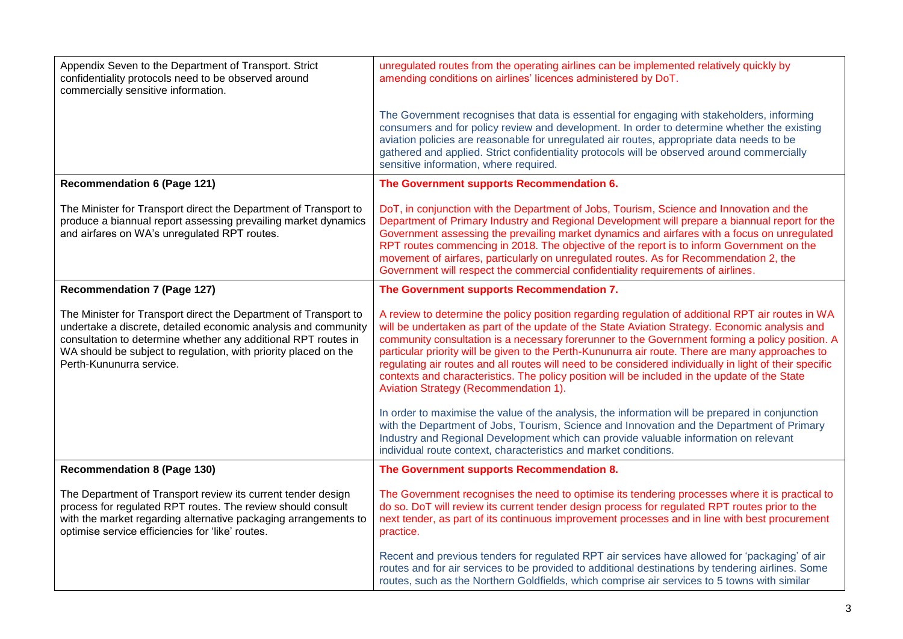| Appendix Seven to the Department of Transport. Strict<br>confidentiality protocols need to be observed around<br>commercially sensitive information.                                                                                                                                                | unregulated routes from the operating airlines can be implemented relatively quickly by<br>amending conditions on airlines' licences administered by DoT.                                                                                                                                                                                                                                                                                                                                                                                                                                                                                                       |
|-----------------------------------------------------------------------------------------------------------------------------------------------------------------------------------------------------------------------------------------------------------------------------------------------------|-----------------------------------------------------------------------------------------------------------------------------------------------------------------------------------------------------------------------------------------------------------------------------------------------------------------------------------------------------------------------------------------------------------------------------------------------------------------------------------------------------------------------------------------------------------------------------------------------------------------------------------------------------------------|
|                                                                                                                                                                                                                                                                                                     | The Government recognises that data is essential for engaging with stakeholders, informing<br>consumers and for policy review and development. In order to determine whether the existing<br>aviation policies are reasonable for unregulated air routes, appropriate data needs to be<br>gathered and applied. Strict confidentiality protocols will be observed around commercially<br>sensitive information, where required.                                                                                                                                                                                                                                 |
| <b>Recommendation 6 (Page 121)</b>                                                                                                                                                                                                                                                                  | The Government supports Recommendation 6.                                                                                                                                                                                                                                                                                                                                                                                                                                                                                                                                                                                                                       |
| The Minister for Transport direct the Department of Transport to<br>produce a biannual report assessing prevailing market dynamics<br>and airfares on WA's unregulated RPT routes.                                                                                                                  | DoT, in conjunction with the Department of Jobs, Tourism, Science and Innovation and the<br>Department of Primary Industry and Regional Development will prepare a biannual report for the<br>Government assessing the prevailing market dynamics and airfares with a focus on unregulated<br>RPT routes commencing in 2018. The objective of the report is to inform Government on the<br>movement of airfares, particularly on unregulated routes. As for Recommendation 2, the<br>Government will respect the commercial confidentiality requirements of airlines.                                                                                           |
| <b>Recommendation 7 (Page 127)</b>                                                                                                                                                                                                                                                                  | The Government supports Recommendation 7.                                                                                                                                                                                                                                                                                                                                                                                                                                                                                                                                                                                                                       |
| The Minister for Transport direct the Department of Transport to<br>undertake a discrete, detailed economic analysis and community<br>consultation to determine whether any additional RPT routes in<br>WA should be subject to regulation, with priority placed on the<br>Perth-Kununurra service. | A review to determine the policy position regarding regulation of additional RPT air routes in WA<br>will be undertaken as part of the update of the State Aviation Strategy. Economic analysis and<br>community consultation is a necessary forerunner to the Government forming a policy position. A<br>particular priority will be given to the Perth-Kununurra air route. There are many approaches to<br>regulating air routes and all routes will need to be considered individually in light of their specific<br>contexts and characteristics. The policy position will be included in the update of the State<br>Aviation Strategy (Recommendation 1). |
|                                                                                                                                                                                                                                                                                                     | In order to maximise the value of the analysis, the information will be prepared in conjunction<br>with the Department of Jobs, Tourism, Science and Innovation and the Department of Primary<br>Industry and Regional Development which can provide valuable information on relevant<br>individual route context, characteristics and market conditions.                                                                                                                                                                                                                                                                                                       |
| <b>Recommendation 8 (Page 130)</b>                                                                                                                                                                                                                                                                  | The Government supports Recommendation 8.                                                                                                                                                                                                                                                                                                                                                                                                                                                                                                                                                                                                                       |
| The Department of Transport review its current tender design<br>process for regulated RPT routes. The review should consult<br>with the market regarding alternative packaging arrangements to<br>optimise service efficiencies for 'like' routes.                                                  | The Government recognises the need to optimise its tendering processes where it is practical to<br>do so. DoT will review its current tender design process for regulated RPT routes prior to the<br>next tender, as part of its continuous improvement processes and in line with best procurement<br>practice.                                                                                                                                                                                                                                                                                                                                                |
|                                                                                                                                                                                                                                                                                                     | Recent and previous tenders for regulated RPT air services have allowed for 'packaging' of air<br>routes and for air services to be provided to additional destinations by tendering airlines. Some<br>routes, such as the Northern Goldfields, which comprise air services to 5 towns with similar                                                                                                                                                                                                                                                                                                                                                             |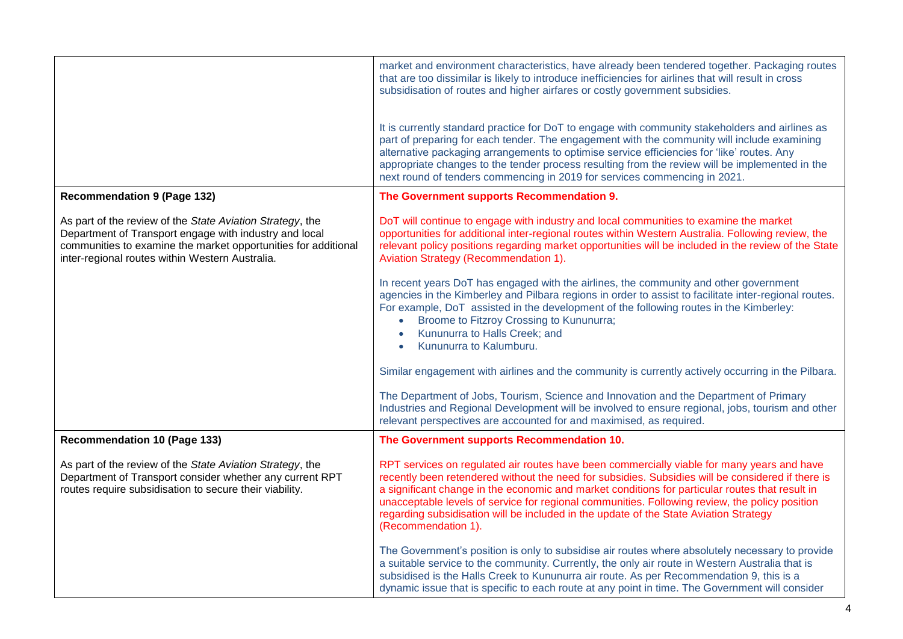|                                                                                                                                                                                                                                          | market and environment characteristics, have already been tendered together. Packaging routes<br>that are too dissimilar is likely to introduce inefficiencies for airlines that will result in cross<br>subsidisation of routes and higher airfares or costly government subsidies.                                                                                                                                                                                                                                 |
|------------------------------------------------------------------------------------------------------------------------------------------------------------------------------------------------------------------------------------------|----------------------------------------------------------------------------------------------------------------------------------------------------------------------------------------------------------------------------------------------------------------------------------------------------------------------------------------------------------------------------------------------------------------------------------------------------------------------------------------------------------------------|
|                                                                                                                                                                                                                                          | It is currently standard practice for DoT to engage with community stakeholders and airlines as<br>part of preparing for each tender. The engagement with the community will include examining<br>alternative packaging arrangements to optimise service efficiencies for 'like' routes. Any<br>appropriate changes to the tender process resulting from the review will be implemented in the<br>next round of tenders commencing in 2019 for services commencing in 2021.                                          |
| <b>Recommendation 9 (Page 132)</b>                                                                                                                                                                                                       | The Government supports Recommendation 9.                                                                                                                                                                                                                                                                                                                                                                                                                                                                            |
| As part of the review of the State Aviation Strategy, the<br>Department of Transport engage with industry and local<br>communities to examine the market opportunities for additional<br>inter-regional routes within Western Australia. | DoT will continue to engage with industry and local communities to examine the market<br>opportunities for additional inter-regional routes within Western Australia. Following review, the<br>relevant policy positions regarding market opportunities will be included in the review of the State<br>Aviation Strategy (Recommendation 1).                                                                                                                                                                         |
|                                                                                                                                                                                                                                          | In recent years DoT has engaged with the airlines, the community and other government<br>agencies in the Kimberley and Pilbara regions in order to assist to facilitate inter-regional routes.<br>For example, DoT assisted in the development of the following routes in the Kimberley:<br>Broome to Fitzroy Crossing to Kununurra;<br>Kununurra to Halls Creek; and<br>Kununurra to Kalumburu.                                                                                                                     |
|                                                                                                                                                                                                                                          | Similar engagement with airlines and the community is currently actively occurring in the Pilbara.                                                                                                                                                                                                                                                                                                                                                                                                                   |
|                                                                                                                                                                                                                                          | The Department of Jobs, Tourism, Science and Innovation and the Department of Primary<br>Industries and Regional Development will be involved to ensure regional, jobs, tourism and other<br>relevant perspectives are accounted for and maximised, as required.                                                                                                                                                                                                                                                     |
| <b>Recommendation 10 (Page 133)</b>                                                                                                                                                                                                      | The Government supports Recommendation 10.                                                                                                                                                                                                                                                                                                                                                                                                                                                                           |
| As part of the review of the State Aviation Strategy, the<br>Department of Transport consider whether any current RPT<br>routes require subsidisation to secure their viability.                                                         | RPT services on regulated air routes have been commercially viable for many years and have<br>recently been retendered without the need for subsidies. Subsidies will be considered if there is<br>a significant change in the economic and market conditions for particular routes that result in<br>unacceptable levels of service for regional communities. Following review, the policy position<br>regarding subsidisation will be included in the update of the State Aviation Strategy<br>(Recommendation 1). |
|                                                                                                                                                                                                                                          | The Government's position is only to subsidise air routes where absolutely necessary to provide<br>a suitable service to the community. Currently, the only air route in Western Australia that is<br>subsidised is the Halls Creek to Kununurra air route. As per Recommendation 9, this is a<br>dynamic issue that is specific to each route at any point in time. The Government will consider                                                                                                                    |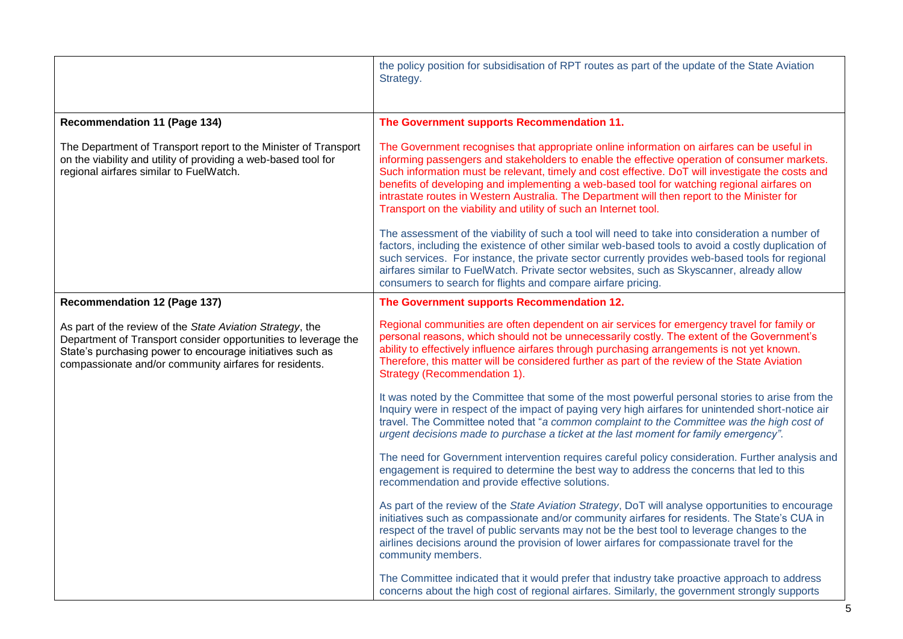|                                                                                                                                                                                                                                                    | the policy position for subsidisation of RPT routes as part of the update of the State Aviation<br>Strategy.                                                                                                                                                                                                                                                                                                                                                                                                                                                    |
|----------------------------------------------------------------------------------------------------------------------------------------------------------------------------------------------------------------------------------------------------|-----------------------------------------------------------------------------------------------------------------------------------------------------------------------------------------------------------------------------------------------------------------------------------------------------------------------------------------------------------------------------------------------------------------------------------------------------------------------------------------------------------------------------------------------------------------|
| <b>Recommendation 11 (Page 134)</b>                                                                                                                                                                                                                | The Government supports Recommendation 11.                                                                                                                                                                                                                                                                                                                                                                                                                                                                                                                      |
| The Department of Transport report to the Minister of Transport<br>on the viability and utility of providing a web-based tool for<br>regional airfares similar to FuelWatch.                                                                       | The Government recognises that appropriate online information on airfares can be useful in<br>informing passengers and stakeholders to enable the effective operation of consumer markets.<br>Such information must be relevant, timely and cost effective. DoT will investigate the costs and<br>benefits of developing and implementing a web-based tool for watching regional airfares on<br>intrastate routes in Western Australia. The Department will then report to the Minister for<br>Transport on the viability and utility of such an Internet tool. |
|                                                                                                                                                                                                                                                    | The assessment of the viability of such a tool will need to take into consideration a number of<br>factors, including the existence of other similar web-based tools to avoid a costly duplication of<br>such services. For instance, the private sector currently provides web-based tools for regional<br>airfares similar to FuelWatch. Private sector websites, such as Skyscanner, already allow<br>consumers to search for flights and compare airfare pricing.                                                                                           |
| <b>Recommendation 12 (Page 137)</b>                                                                                                                                                                                                                | The Government supports Recommendation 12.                                                                                                                                                                                                                                                                                                                                                                                                                                                                                                                      |
| As part of the review of the State Aviation Strategy, the<br>Department of Transport consider opportunities to leverage the<br>State's purchasing power to encourage initiatives such as<br>compassionate and/or community airfares for residents. | Regional communities are often dependent on air services for emergency travel for family or<br>personal reasons, which should not be unnecessarily costly. The extent of the Government's<br>ability to effectively influence airfares through purchasing arrangements is not yet known.<br>Therefore, this matter will be considered further as part of the review of the State Aviation<br>Strategy (Recommendation 1).                                                                                                                                       |
|                                                                                                                                                                                                                                                    | It was noted by the Committee that some of the most powerful personal stories to arise from the<br>Inquiry were in respect of the impact of paying very high airfares for unintended short-notice air<br>travel. The Committee noted that "a common complaint to the Committee was the high cost of<br>urgent decisions made to purchase a ticket at the last moment for family emergency".                                                                                                                                                                     |
|                                                                                                                                                                                                                                                    | The need for Government intervention requires careful policy consideration. Further analysis and<br>engagement is required to determine the best way to address the concerns that led to this<br>recommendation and provide effective solutions.                                                                                                                                                                                                                                                                                                                |
|                                                                                                                                                                                                                                                    | As part of the review of the State Aviation Strategy, DoT will analyse opportunities to encourage<br>initiatives such as compassionate and/or community airfares for residents. The State's CUA in<br>respect of the travel of public servants may not be the best tool to leverage changes to the<br>airlines decisions around the provision of lower airfares for compassionate travel for the<br>community members.                                                                                                                                          |
|                                                                                                                                                                                                                                                    | The Committee indicated that it would prefer that industry take proactive approach to address<br>concerns about the high cost of regional airfares. Similarly, the government strongly supports                                                                                                                                                                                                                                                                                                                                                                 |